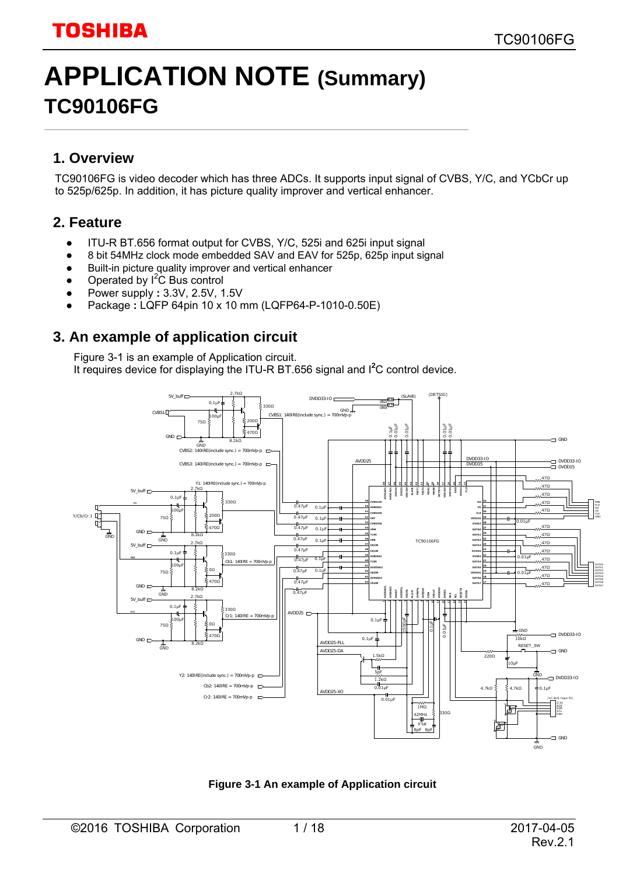# **APPLICATION NOTE (Summary) TC90106FG**

### **1. Overview**

TC90106FG is video decoder which has three ADCs. It supports input signal of CVBS, Y/C, and YCbCr up to 525p/625p. In addition, it has picture quality improver and vertical enhancer.

### **2. Feature**

- ITU-R BT.656 format output for CVBS, Y/C, 525i and 625i input signal
- 8 bit 54MHz clock mode embedded SAV and EAV for 525p, 625p input signal
- Built-in picture quality improver and vertical enhancer
- Operated by  $I^2C$  Bus control
- Power supply **:** 3.3V, 2.5V, 1.5V
- Package : LQFP 64pin 10 x 10 mm (LQFP64-P-1010-0.50E)

### **3. An example of application circuit**

Figure 3-1 is an example of Application circuit. It requires device for displaying the ITU-R BT.656 signal and <sup>12</sup>C control device.



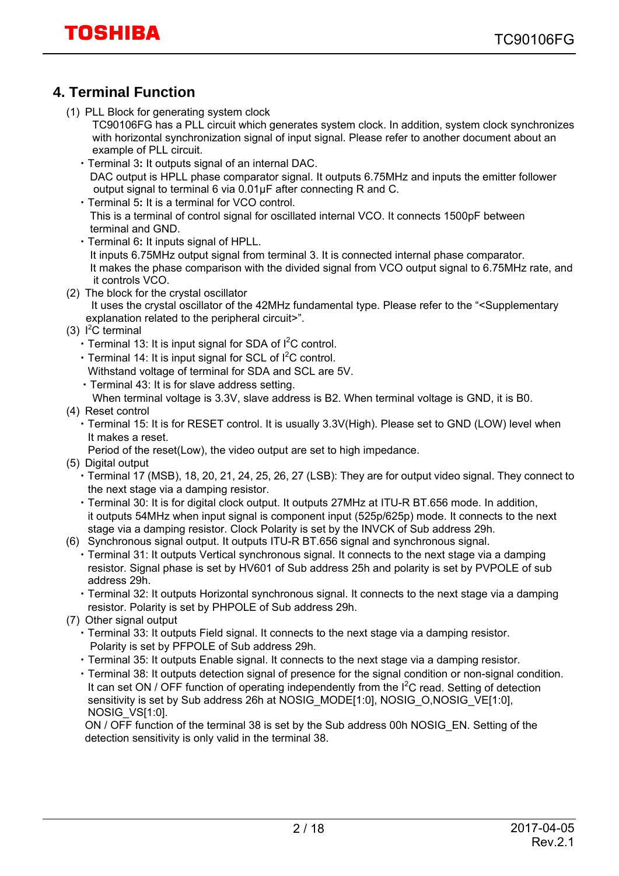### **4. Terminal Function**

(1) PLL Block for generating system clock

TC90106FG has a PLL circuit which generates system clock. In addition, system clock synchronizes with horizontal synchronization signal of input signal. Please refer to another document about an example of PLL circuit.

- ・Terminal 3**:** It outputs signal of an internal DAC. DAC output is HPLL phase comparator signal. It outputs 6.75MHz and inputs the emitter follower output signal to terminal 6 via 0.01μF after connecting R and C.
- ・Terminal 5**:** It is a terminal for VCO control. This is a terminal of control signal for oscillated internal VCO. It connects 1500pF between terminal and GND.
- ・Terminal 6**:** It inputs signal of HPLL. It inputs 6.75MHz output signal from terminal 3. It is connected internal phase comparator. It makes the phase comparison with the divided signal from VCO output signal to 6.75MHz rate, and it controls VCO.
- (2) The block for the crystal oscillator
	- It uses the crystal oscillator of the 42MHz fundamental type. Please refer to the "<Supplementary explanation related to the peripheral circuit>".
- $(3)$   $1<sup>2</sup>C$  terminal
	- Terminal 13: It is input signal for SDA of I<sup>2</sup>C control.
	- Terminal 14: It is input signal for SCL of I<sup>2</sup>C control. Withstand voltage of terminal for SDA and SCL are 5V.
	- ・Terminal 43: It is for slave address setting.
	- When terminal voltage is 3.3V, slave address is B2. When terminal voltage is GND, it is B0.
- (4) Reset control
	- ・Terminal 15: It is for RESET control. It is usually 3.3V(High). Please set to GND (LOW) level when It makes a reset.

Period of the reset(Low), the video output are set to high impedance.

- (5) Digital output
	- ・Terminal 17 (MSB), 18, 20, 21, 24, 25, 26, 27 (LSB): They are for output video signal. They connect to the next stage via a damping resistor.
	- ・Terminal 30: It is for digital clock output. It outputs 27MHz at ITU-R BT.656 mode. In addition, it outputs 54MHz when input signal is component input (525p/625p) mode. It connects to the next stage via a damping resistor. Clock Polarity is set by the INVCK of Sub address 29h.
- (6) Synchronous signal output. It outputs ITU-R BT.656 signal and synchronous signal.
	- ・Terminal 31: It outputs Vertical synchronous signal. It connects to the next stage via a damping resistor. Signal phase is set by HV601 of Sub address 25h and polarity is set by PVPOLE of sub address 29h.

 ・Terminal 32: It outputs Horizontal synchronous signal. It connects to the next stage via a damping resistor. Polarity is set by PHPOLE of Sub address 29h.

- (7) Other signal output
	- ・Terminal 33: It outputs Field signal. It connects to the next stage via a damping resistor. Polarity is set by PFPOLE of Sub address 29h.
	- ・Terminal 35: It outputs Enable signal. It connects to the next stage via a damping resistor.
	- ・Terminal 38: It outputs detection signal of presence for the signal condition or non-signal condition. It can set ON / OFF function of operating independently from the  $I^2C$  read. Setting of detection sensitivity is set by Sub address 26h at NOSIG\_MODE[1:0], NOSIG\_O,NOSIG\_VE[1:0], NOSIG\_VS[1:0].

ON / OFF function of the terminal 38 is set by the Sub address 00h NOSIG\_EN. Setting of the detection sensitivity is only valid in the terminal 38.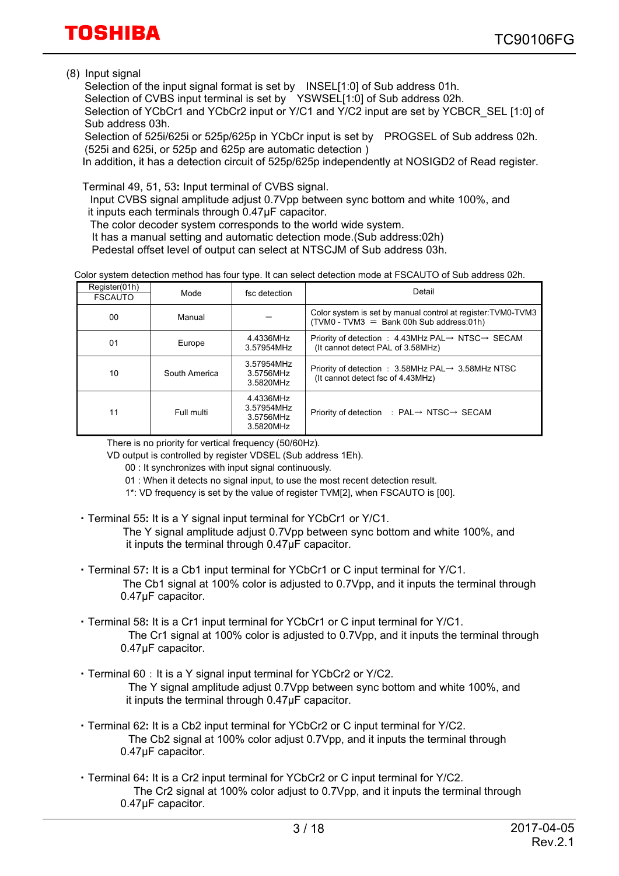(8) Input signal

 Selection of the input signal format is set by INSEL[1:0] of Sub address 01h. Selection of CVBS input terminal is set by YSWSEL[1:0] of Sub address 02h. Selection of YCbCr1 and YCbCr2 input or Y/C1 and Y/C2 input are set by YCBCR\_SEL [1:0] of Sub address 03h.

 Selection of 525i/625i or 525p/625p in YCbCr input is set by PROGSEL of Sub address 02h. (525i and 625i, or 525p and 625p are automatic detection )

In addition, it has a detection circuit of 525p/625p independently at NOSIGD2 of Read register.

Terminal 49, 51, 53**:** Input terminal of CVBS signal.

 Input CVBS signal amplitude adjust 0.7Vpp between sync bottom and white 100%, and it inputs each terminals through 0.47μF capacitor.

The color decoder system corresponds to the world wide system.

It has a manual setting and automatic detection mode.(Sub address:02h)

Pedestal offset level of output can select at NTSCJM of Sub address 03h.

|  | Color system detection method has four type. It can select detection mode at FSCAUTO of Sub address 02h. |
|--|----------------------------------------------------------------------------------------------------------|
|--|----------------------------------------------------------------------------------------------------------|

| Register(01h)<br><b>FSCAUTO</b> | Mode          | fsc detection                                     | Detail                                                                                                          |
|---------------------------------|---------------|---------------------------------------------------|-----------------------------------------------------------------------------------------------------------------|
| 00                              | Manual        |                                                   | Color system is set by manual control at register: TVM0-TVM3<br>$(TVM0 - TVM3 = Bank 00h Sub address:01h)$      |
| 01                              | Europe        | 4.4336MHz<br>3.57954MHz                           | Priority of detection : 4.43MHz PAL $\rightarrow$ NTSC $\rightarrow$ SECAM<br>(It cannot detect PAL of 3.58MHz) |
| 10                              | South America | 3.57954MHz<br>3.5756MHz<br>3.5820MHz              | Priority of detection : $3.58$ MHz PAL $\rightarrow$ 3.58MHz NTSC<br>(It cannot detect fsc of 4.43MHz)          |
| 11                              | Full multi    | 4.4336MHz<br>3.57954MHz<br>3.5756MHz<br>3.5820MHz | Priority of detection : $PAL \rightarrow NTSC \rightarrow SECAM$                                                |

There is no priority for vertical frequency (50/60Hz).

VD output is controlled by register VDSEL (Sub address 1Eh).

00 : It synchronizes with input signal continuously.

- 01 : When it detects no signal input, to use the most recent detection result.
- 1\*: VD frequency is set by the value of register TVM[2], when FSCAUTO is [00].
- ・Terminal 55**:** It is a Y signal input terminal for YCbCr1 or Y/C1.

 The Y signal amplitude adjust 0.7Vpp between sync bottom and white 100%, and it inputs the terminal through 0.47μF capacitor.

- ・Terminal 57**:** It is a Cb1 input terminal for YCbCr1 or C input terminal for Y/C1. The Cb1 signal at 100% color is adjusted to 0.7Vpp, and it inputs the terminal through 0.47μF capacitor.
- ・Terminal 58**:** It is a Cr1 input terminal for YCbCr1 or C input terminal for Y/C1. The Cr1 signal at 100% color is adjusted to 0.7Vpp, and it inputs the terminal through 0.47μF capacitor.
- ・Terminal 60:It is a Y signal input terminal for YCbCr2 or Y/C2. The Y signal amplitude adjust 0.7Vpp between sync bottom and white 100%, and it inputs the terminal through 0.47μF capacitor.
- ・Terminal 62**:** It is a Cb2 input terminal for YCbCr2 or C input terminal for Y/C2. The Cb2 signal at 100% color adjust 0.7Vpp, and it inputs the terminal through 0.47μF capacitor.
- ・Terminal 64**:** It is a Cr2 input terminal for YCbCr2 or C input terminal for Y/C2. The Cr2 signal at 100% color adjust to 0.7Vpp, and it inputs the terminal through 0.47μF capacitor.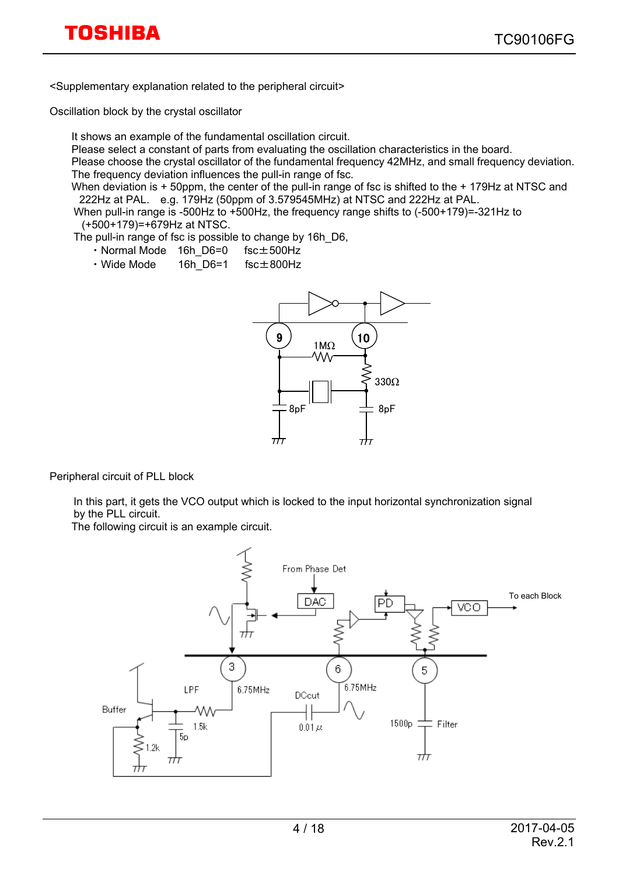<Supplementary explanation related to the peripheral circuit>

Oscillation block by the crystal oscillator

It shows an example of the fundamental oscillation circuit.

Please select a constant of parts from evaluating the oscillation characteristics in the board.

Please choose the crystal oscillator of the fundamental frequency 42MHz, and small frequency deviation. The frequency deviation influences the pull-in range of fsc.

When deviation is + 50ppm, the center of the pull-in range of fsc is shifted to the + 179Hz at NTSC and 222Hz at PAL. e.g. 179Hz (50ppm of 3.579545MHz) at NTSC and 222Hz at PAL.

When pull-in range is -500Hz to +500Hz, the frequency range shifts to (-500+179)=-321Hz to (+500+179)=+679Hz at NTSC.

The pull-in range of fsc is possible to change by 16h\_D6,

- ・Normal Mode 16h\_D6=0 fsc±500Hz
- ・Wide Mode 16h\_D6=1 fsc±800Hz



Peripheral circuit of PLL block

In this part, it gets the VCO output which is locked to the input horizontal synchronization signal by the PLL circuit.

The following circuit is an example circuit.

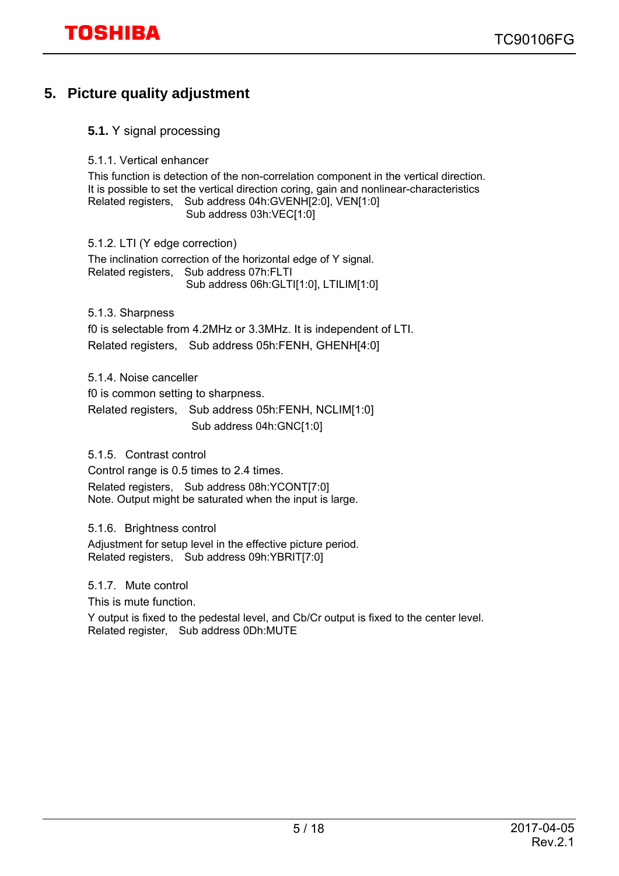### **5. Picture quality adjustment**

- **5.1.** Y signal processing
- 5.1.1. Vertical enhancer

 This function is detection of the non-correlation component in the vertical direction. It is possible to set the vertical direction coring, gain and nonlinear-characteristics Related registers, Sub address 04h:GVENH[2:0], VEN[1:0] Sub address 03h: VEC[1:0]

5.1.2. LTI (Y edge correction)

 The inclination correction of the horizontal edge of Y signal. Related registers, Sub address 07h:FLTI Sub address 06h:GLTI[1:0], LTILIM[1:0]

5.1.3. Sharpness f0 is selectable from 4.2MHz or 3.3MHz. It is independent of LTI. Related registers, Sub address 05h:FENH, GHENH[4:0]

5.1.4. Noise canceller

f0 is common setting to sharpness.

Related registers, Sub address 05h:FENH, NCLIM[1:0] Sub address 04h:GNC[1:0]

5.1.5. Contrast control

Control range is 0.5 times to 2.4 times. Related registers, Sub address 08h:YCONT[7:0] Note. Output might be saturated when the input is large.

5.1.6. Brightness control

 Adjustment for setup level in the effective picture period. Related registers, Sub address 09h:YBRIT[7:0]

#### 5.1.7. Mute control

This is mute function.

 Y output is fixed to the pedestal level, and Cb/Cr output is fixed to the center level. Related register, Sub address 0Dh:MUTE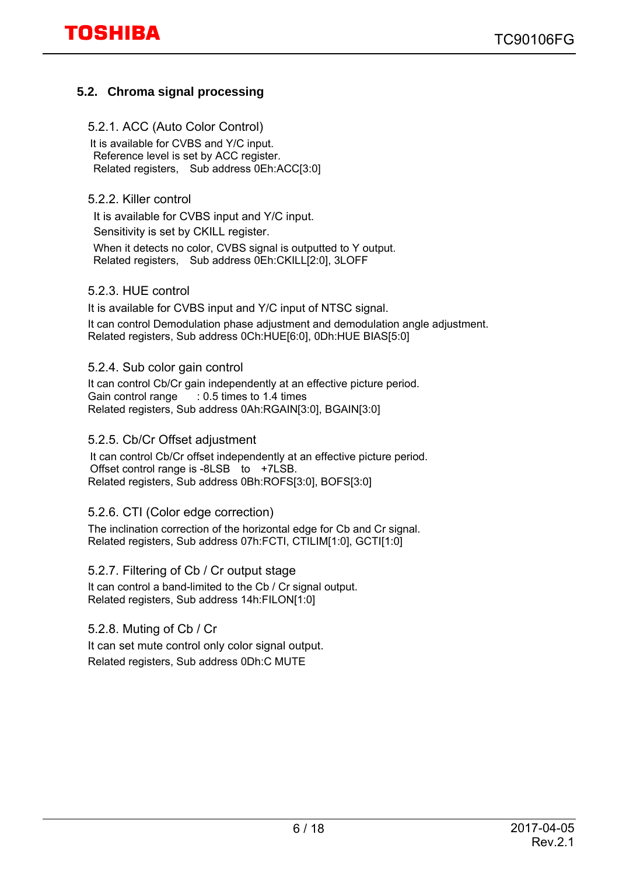### **5.2. Chroma signal processing**

#### 5.2.1. ACC (Auto Color Control)

 It is available for CVBS and Y/C input. Reference level is set by ACC register. Related registers, Sub address 0Eh:ACC[3:0]

5.2.2. Killer control

It is available for CVBS input and Y/C input. Sensitivity is set by CKILL register. When it detects no color, CVBS signal is outputted to Y output. Related registers, Sub address 0Eh:CKILL[2:0], 3LOFF

#### 5.2.3. HUE control

It is available for CVBS input and Y/C input of NTSC signal. It can control Demodulation phase adjustment and demodulation angle adjustment. Related registers, Sub address 0Ch:HUE[6:0], 0Dh:HUE BIAS[5:0]

#### 5.2.4. Sub color gain control

 It can control Cb/Cr gain independently at an effective picture period. Gain control range : 0.5 times to 1.4 times Related registers, Sub address 0Ah:RGAIN[3:0], BGAIN[3:0]

#### 5.2.5. Cb/Cr Offset adjustment

 It can control Cb/Cr offset independently at an effective picture period. Offset control range is -8LSB to +7LSB. Related registers, Sub address 0Bh:ROFS[3:0], BOFS[3:0]

#### 5.2.6. CTI (Color edge correction)

The inclination correction of the horizontal edge for Cb and Cr signal. Related registers, Sub address 07h:FCTI, CTILIM[1:0], GCTI[1:0]

5.2.7. Filtering of Cb / Cr output stage

 It can control a band-limited to the Cb / Cr signal output. Related registers, Sub address 14h:FILON[1:0]

5.2.8. Muting of Cb / Cr

It can set mute control only color signal output. Related registers, Sub address 0Dh:C MUTE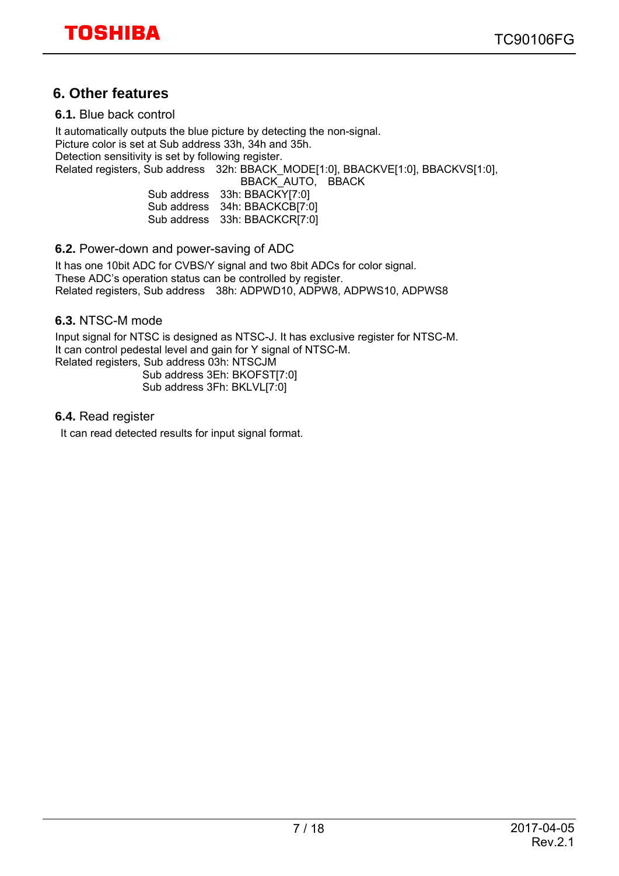### **6. Other features**

**6.1.** Blue back control

 It automatically outputs the blue picture by detecting the non-signal. Picture color is set at Sub address 33h, 34h and 35h. Detection sensitivity is set by following register. Related registers, Sub address 32h: BBACK\_MODE[1:0], BBACKVE[1:0], BBACKVS[1:0], BBACK\_AUTO, BBACK

| Sub address | 33h: BBACKY[7:0]  |
|-------------|-------------------|
| Sub address | 34h: BBACKCB[7:0] |
| Sub address | 33h: BBACKCR[7:0] |

**6.2.** Power-down and power-saving of ADC

 It has one 10bit ADC for CVBS/Y signal and two 8bit ADCs for color signal. These ADC's operation status can be controlled by register. Related registers, Sub address 38h: ADPWD10, ADPW8, ADPWS10, ADPWS8

#### **6.3.** NTSC-M mode

 Input signal for NTSC is designed as NTSC-J. It has exclusive register for NTSC-M. It can control pedestal level and gain for Y signal of NTSC-M. Related registers, Sub address 03h: NTSCJM Sub address 3Eh: BKOFST[7:0] Sub address 3Fh: BKLVL[7:0]

**6.4.** Read register

It can read detected results for input signal format.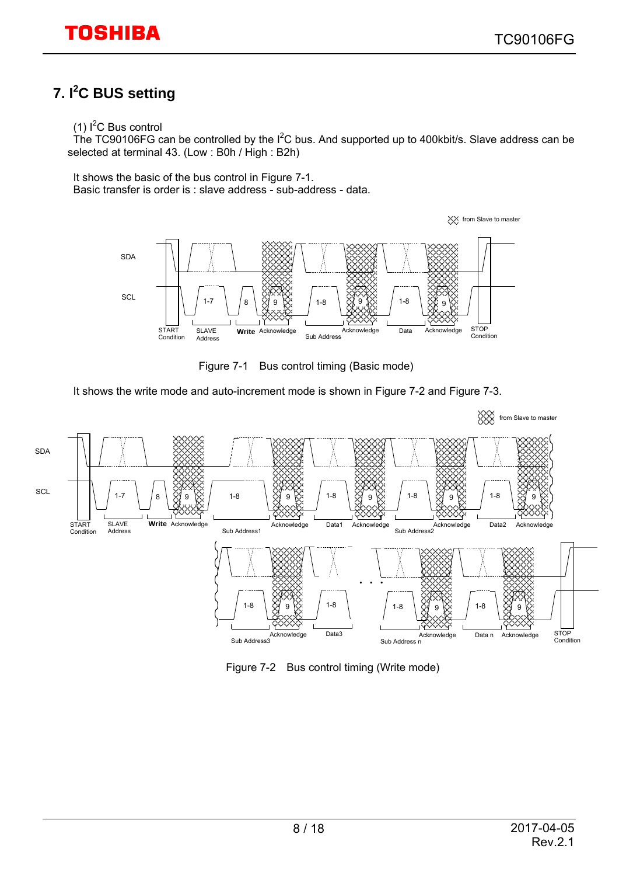### **7. I<sup>2</sup> C BUS setting**

#### $(1)$  I<sup>2</sup>C Bus control

The TC90106FG can be controlled by the  $I^2C$  bus. And supported up to 400kbit/s. Slave address can be selected at terminal 43. (Low : B0h / High : B2h)

It shows the basic of the bus control in Figure 7-1. Basic transfer is order is : slave address - sub-address - data.



Figure 7-1 Bus control timing (Basic mode)

It shows the write mode and auto-increment mode is shown in Figure 7-2 and Figure 7-3.



Figure 7-2 Bus control timing (Write mode)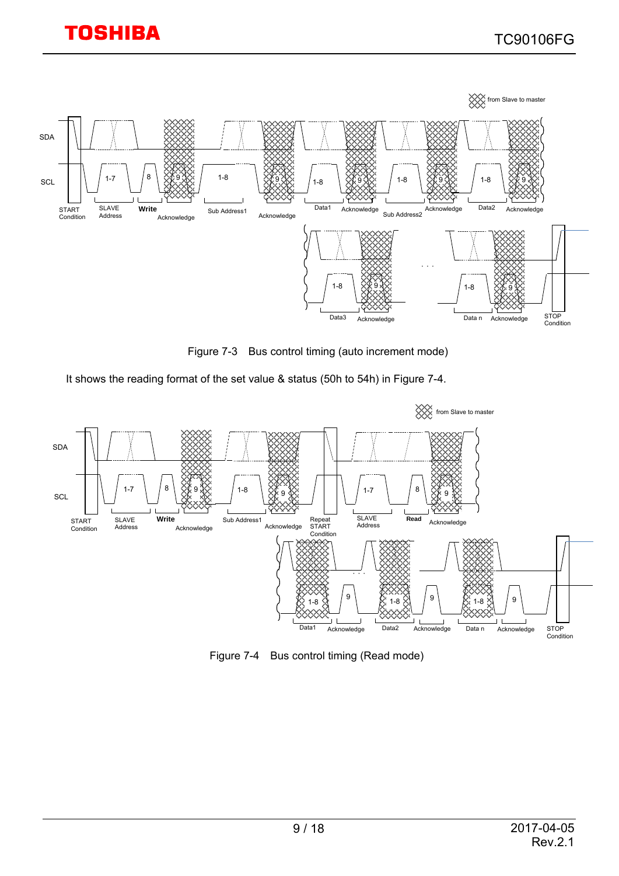

Figure 7-3 Bus control timing (auto increment mode)

It shows the reading format of the set value & status (50h to 54h) in Figure 7-4.



Figure 7-4 Bus control timing (Read mode)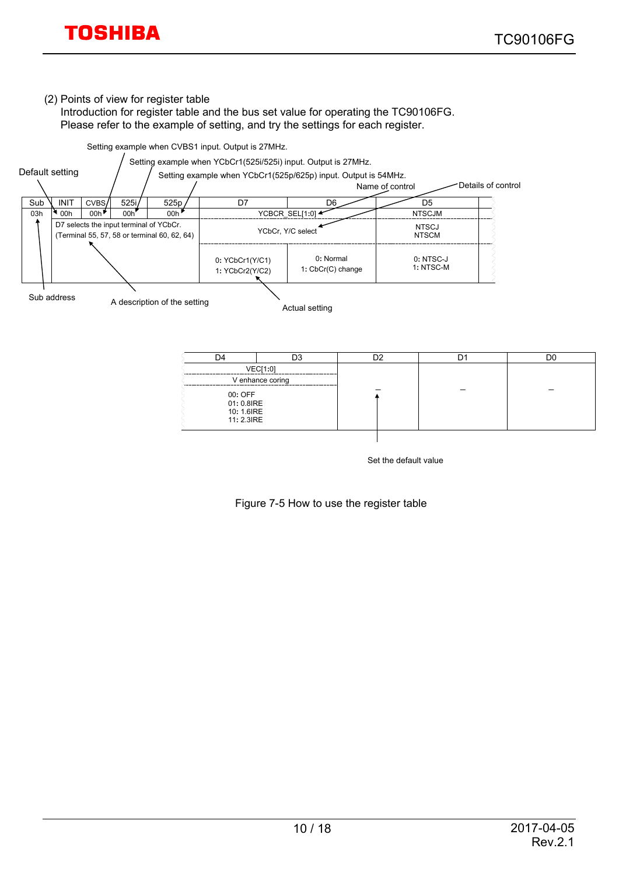#### (2) Points of view for register table

 Introduction for register table and the bus set value for operating the TC90106FG. Please refer to the example of setting, and try the settings for each register.

Setting example when CVBS1 input. Output is 27MHz.



| D4                                                | D3               | nα | DC |
|---------------------------------------------------|------------------|----|----|
|                                                   | VEC[1:0]         |    |    |
|                                                   | V enhance coring |    |    |
| 00: OFF<br>01: 0.8IRE<br>10: 1.6IRE<br>11: 2.3IRE |                  |    |    |
|                                                   |                  |    |    |

Set the default value

Figure 7-5 How to use the register table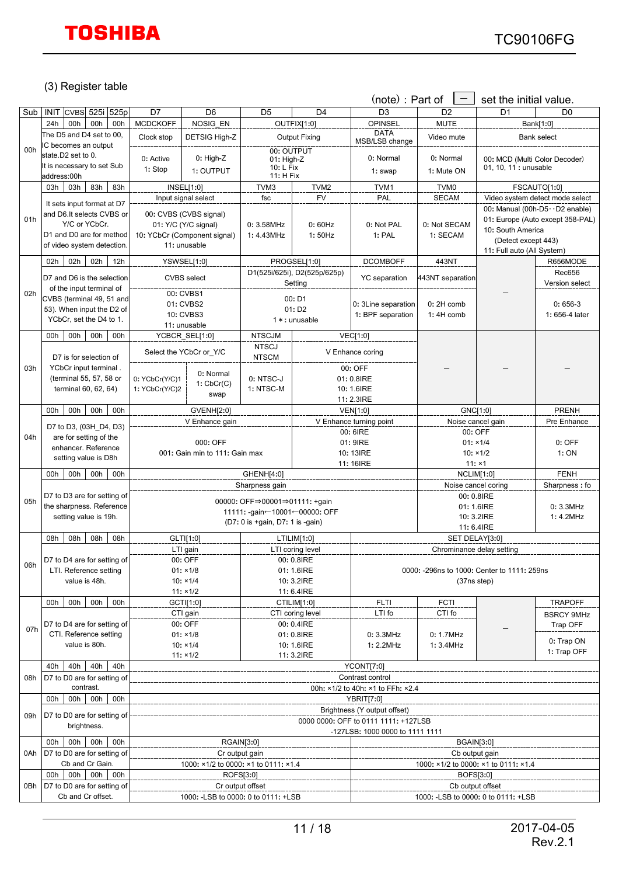#### (3) Register table

|     |                                                         |                                  |                                                      |                                  |                                         | (note) : Part of                                  | $\qquad \qquad -$         | set the initial value.                      |                                   |
|-----|---------------------------------------------------------|----------------------------------|------------------------------------------------------|----------------------------------|-----------------------------------------|---------------------------------------------------|---------------------------|---------------------------------------------|-----------------------------------|
| Sub | INIT CVBS 525i 525p                                     | D7                               | D <sub>6</sub>                                       | D <sub>5</sub>                   | D <sub>4</sub>                          | D <sub>3</sub>                                    | D <sub>2</sub>            | D <sub>1</sub>                              | D <sub>0</sub>                    |
|     | 00h<br>00h<br>24h<br>00h                                | <b>MCDCKOFF</b>                  | NOSIG EN                                             |                                  | OUTFIX[1:0]                             | <b>OPINSEL</b>                                    | <b>MUTE</b>               |                                             | Bank[1:0]                         |
|     | The D5 and D4 set to 00,                                | Clock stop                       | DETSIG High-Z                                        |                                  | <b>Output Fixing</b>                    | <b>DATA</b><br>MSB/LSB change                     | Video mute                |                                             | Bank select                       |
| 00h | IC becomes an output                                    |                                  |                                                      | 00: OUTPUT                       |                                         |                                                   |                           |                                             |                                   |
|     | state.D2 set to 0.                                      | 0: Active                        | $0:$ High-Z                                          | 01: High-Z                       |                                         | 0: Normal                                         | 0: Normal                 | 00: MCD (Multi Color Decoder)               |                                   |
|     | It is necessary to set Sub                              | 1: Stop                          | 1: OUTPUT                                            | 10: L Fix<br>11: H Fix           |                                         | 1: swap                                           | 1: Mute ON                | 01, 10, 11 : unusable                       |                                   |
|     | address:00h<br>83h<br>03h<br>83h<br>03h                 |                                  | <b>INSEL[1:0]</b>                                    | TVM3                             | TVM <sub>2</sub>                        | TVM1                                              | TVM <sub>0</sub>          |                                             | FSCAUTO[1:0]                      |
|     |                                                         |                                  | Input signal select                                  | <b>FV</b><br>fsc                 |                                         | PAL                                               | <b>SECAM</b>              |                                             | Video system detect mode select   |
|     | It sets input format at D7                              |                                  |                                                      |                                  |                                         |                                                   |                           |                                             | 00: Manual (00h-D5 · · D2 enable) |
| 01h | and D6.It selects CVBS or                               |                                  | 00: CVBS (CVBS signal)                               |                                  |                                         |                                                   |                           |                                             | 01: Europe (Auto except 358-PAL)  |
|     | Y/C or YCbCr.<br>D1 and D0 are for method               |                                  | 01: Y/C (Y/C signal)<br>10: YCbCr (Component signal) | 0:3.58MHz<br>1:4.43MHz           | 0:60Hz<br>1:50Hz                        | 0: Not PAL<br>1: PAL                              | 0: Not SECAM<br>1: SECAM  | 10: South America                           |                                   |
|     | of video system detection.                              |                                  | 11: unusable                                         |                                  |                                         |                                                   |                           | (Detect except 443)                         |                                   |
|     |                                                         |                                  |                                                      |                                  |                                         |                                                   |                           | 11: Full auto (All System)                  |                                   |
|     | 02h<br>02h<br>12h<br>02h                                |                                  | YSWSEL[1:0]                                          |                                  | PROGSEL[1:0]                            | <b>DCOMBOFF</b>                                   | 443NT                     |                                             | R656MODE                          |
|     | D7 and D6 is the selection                              |                                  | <b>CVBS</b> select                                   |                                  | D1(525i/625i), D2(525p/625p)<br>Setting | <b>YC</b> separation                              | 443NT separation          |                                             | <b>Rec656</b><br>Version select   |
| 02h | of the input terminal of                                |                                  | 00: CVBS1                                            |                                  |                                         |                                                   |                           |                                             |                                   |
|     | CVBS (terminal 49, 51 and                               |                                  | 01: CVBS2                                            |                                  | 00: D1                                  | 0: 3Line separation                               | 0:2H comb                 |                                             | $0:656-3$                         |
|     | 53). When input the D2 of                               |                                  | 10: CVBS3                                            |                                  | 01: D <sub>2</sub>                      | 1: BPF separation                                 | 1:4H comb                 |                                             | 1: 656-4 later                    |
|     | YCbCr, set the D4 to 1.                                 |                                  | 11: unusable                                         |                                  | 1 * : unusable                          |                                                   |                           |                                             |                                   |
|     | 00h<br>00h<br>00h<br>00h                                |                                  | YCBCR SEL[1:0]                                       | <b>NTSCJM</b>                    |                                         | <b>VEC[1:0]</b>                                   |                           |                                             |                                   |
|     |                                                         |                                  | Select the YCbCr or Y/C                              | <b>NTSCJ</b>                     |                                         | V Enhance coring                                  |                           |                                             |                                   |
|     | D7 is for selection of                                  |                                  |                                                      | <b>NTSCM</b>                     |                                         |                                                   |                           |                                             |                                   |
| 03h | YCbCr input terminal.<br>(terminal 55, 57, 58 or        |                                  | 0: Normal                                            | 0: NTSC-J                        |                                         | 00: OFF<br>01: 0.8IRE                             |                           |                                             |                                   |
|     | terminal 60, 62, 64)                                    | 0: YCbCr(Y/C)1<br>1: YCbCr(Y/C)2 | 1: CbCr(C)                                           | 1: NTSC-M                        |                                         | 10: 1.6IRE                                        |                           |                                             |                                   |
|     |                                                         |                                  | swap                                                 |                                  | 11: 2.3IRE                              |                                                   |                           |                                             |                                   |
|     | 00h<br>00h<br>00h<br>00h                                |                                  | GVENH[2:0]                                           |                                  |                                         | <b>VEN[1:0]</b>                                   |                           | GNC[1:0]                                    | PRENH                             |
|     | D7 to D3, (03H D4, D3)                                  |                                  | V Enhance gain                                       |                                  |                                         | V Enhance turning point                           |                           | Noise cancel gain                           | Pre Enhance                       |
| 04h | are for setting of the                                  |                                  |                                                      |                                  |                                         | 00: 6IRE                                          | 00: OFF                   |                                             |                                   |
|     | enhancer. Reference                                     |                                  | 000: OFF                                             |                                  |                                         | 01: 9IRE                                          | $01: \times 1/4$          |                                             | $0:$ OFF                          |
|     | setting value is D8h                                    |                                  | 001: Gain min to 111: Gain max                       |                                  |                                         | 10: 13IRE                                         |                           | $10: \times 1/2$                            | 1: ON                             |
|     | 00h<br>00h<br>00h<br>00h                                | GHENH[4:0]                       |                                                      |                                  |                                         | 11: 16IRE                                         | 11: x1<br>NCLIM[1:0]      |                                             | <b>FENH</b>                       |
|     |                                                         |                                  |                                                      | Sharpness gain                   |                                         |                                                   | Noise cancel coring       |                                             | Sharpness: fo                     |
| 05h | D7 to D3 are for setting of                             |                                  |                                                      | 00000: OFF⇒00001⇒01111: +qain    |                                         |                                                   | 00: 0.8IRE                |                                             |                                   |
|     | the sharpness. Reference                                |                                  |                                                      | 11111: -qain←10001←00000: OFF    |                                         |                                                   | 01: 1.6IRE                |                                             | 0:3.3MHz                          |
|     | setting value is 19h.                                   |                                  |                                                      | (D7: 0 is +gain, D7: 1 is -gain) |                                         |                                                   | 11: 6.4IRE                | 10: 3.2IRE                                  | 1:4.2MHz                          |
|     | 08h<br>08h<br>08h<br>08h                                |                                  | GLTI[1:0]                                            |                                  | LTILIM[1:0]                             |                                                   | SET DELAY[3:0]            |                                             |                                   |
|     |                                                         |                                  | LTI gain                                             |                                  | LTI coring level                        |                                                   | Chrominance delay setting |                                             |                                   |
| 06h | D7 to D4 are for setting of                             |                                  | 00: OFF                                              |                                  | 00: 0.8IRE                              |                                                   |                           |                                             |                                   |
|     | LTI. Reference setting                                  |                                  | $01: \times 1/8$                                     |                                  | 01: 1.6IRE                              |                                                   |                           | 0000: -296ns to 1000: Center to 1111: 259ns |                                   |
|     | value is 48h.                                           |                                  | $10: \times 1/4$                                     |                                  | 10: 3.2IRE                              |                                                   | (37ns step)               |                                             |                                   |
|     | 00h<br>00h<br>00h<br>00h                                |                                  | $11: \times 1/2$<br>GCTI[1:0]                        |                                  | 11: 6.4IRE<br>CTILIM[1:0]               | <b>FLTI</b>                                       | <b>FCTI</b>               |                                             | <b>TRAPOFF</b>                    |
|     |                                                         |                                  | CTI gain                                             |                                  | CTI coring level                        | LTI fo                                            | CTI fo                    |                                             | <b>BSRCY 9MHz</b>                 |
|     | D7 to D4 are for setting of                             |                                  | 00: OFF                                              |                                  | 00: 0.4IRE                              |                                                   |                           |                                             | Trap OFF                          |
| 07h | CTI. Reference setting                                  |                                  | $01: \times 1/8$                                     |                                  | 01: 0.8IRE                              | 0:3.3MHz                                          | 0: 1.7MHz                 |                                             |                                   |
|     | value is 80h.                                           |                                  | $10: \times 1/4$                                     |                                  | 10: 1.6IRE                              | 1: 2.2MHz                                         | 1:3.4MHz                  |                                             | 0: Trap ON<br>1: Trap OFF         |
|     |                                                         |                                  | $11: \times 1/2$                                     |                                  | 11: 3.2IRE                              |                                                   |                           |                                             |                                   |
|     | 40h<br>40h<br>40h<br>40h                                | YCONT[7:0]<br>Contrast control   |                                                      |                                  |                                         |                                                   |                           |                                             |                                   |
| 08h | D7 to D0 are for setting of<br>contrast.                |                                  |                                                      |                                  |                                         | 00h: ×1/2 to 40h: ×1 to FFh: ×2.4                 |                           |                                             |                                   |
|     | 00h<br>00h<br>00h<br>00h                                |                                  |                                                      |                                  |                                         | <b>YBRIT[7:0]</b>                                 |                           |                                             |                                   |
|     |                                                         |                                  |                                                      |                                  |                                         | Brightness (Y output offset)                      |                           |                                             |                                   |
| 09h | D7 to D0 are for setting of                             |                                  |                                                      |                                  |                                         | 0000 0000: OFF to 0111 1111: +127LSB              |                           |                                             |                                   |
|     | brightness.                                             |                                  |                                                      |                                  |                                         | -127LSB: 1000 0000 to 1111 1111                   |                           |                                             |                                   |
|     | 00h<br>00h<br>00h<br>00h                                |                                  | RGAIN[3:0]                                           |                                  |                                         |                                                   | <b>BGAIN[3:0]</b>         |                                             |                                   |
| 0Ah | D7 to D0 are for setting of                             |                                  | Cr output gain                                       |                                  |                                         | Cb output gain                                    |                           |                                             |                                   |
|     | Cb and Cr Gain.                                         |                                  | 1000: ×1/2 to 0000: ×1 to 0111: ×1.4                 |                                  |                                         | 1000: ×1/2 to 0000: ×1 to 0111: ×1.4<br>BOFS[3:0] |                           |                                             |                                   |
| 0Bh | 00h<br>00h<br>00h<br>00h<br>D7 to D0 are for setting of |                                  | ROFS[3:0]<br>Cr output offset                        |                                  |                                         |                                                   | Cb output offset          |                                             |                                   |
|     | Cb and Cr offset.                                       |                                  | 1000: - LSB to 0000: 0 to 0111: + LSB                |                                  |                                         |                                                   |                           | 1000: - LSB to 0000: 0 to 0111: + LSB       |                                   |
|     |                                                         |                                  |                                                      |                                  |                                         |                                                   |                           |                                             |                                   |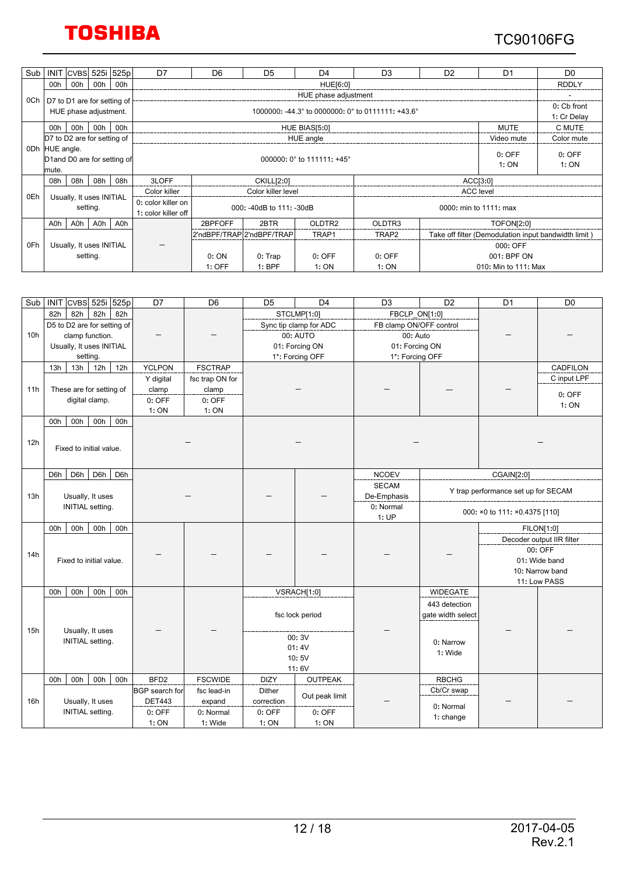### TC90106FG

| Sub | <b>INIT</b>                  | <b>CVBS</b> | 525i                        | 525p | D7                   | D <sub>6</sub>                                                                  | D <sub>5</sub>               | D <sub>4</sub>     | D <sub>3</sub>     | D <sub>2</sub> | D <sub>1</sub>                                       | D <sub>0</sub> |  |  |
|-----|------------------------------|-------------|-----------------------------|------|----------------------|---------------------------------------------------------------------------------|------------------------------|--------------------|--------------------|----------------|------------------------------------------------------|----------------|--|--|
|     | 00h                          | 00h         | 00h                         | 00h  | HUE[6:0]             |                                                                                 |                              |                    |                    |                |                                                      | <b>RDDLY</b>   |  |  |
|     |                              |             |                             |      | HUE phase adjustment |                                                                                 |                              |                    |                    |                |                                                      |                |  |  |
| 0Ch |                              |             | D7 to D1 are for setting of |      |                      |                                                                                 |                              |                    |                    |                |                                                      |                |  |  |
|     |                              |             | HUE phase adjustment.       |      |                      | 1000000: -44.3 $^{\circ}$ to 0000000: 0 $^{\circ}$ to 0111111: +43.6 $^{\circ}$ |                              |                    |                    |                |                                                      |                |  |  |
|     | 00h                          | 00h         | 00h                         | 00h  |                      |                                                                                 | <b>MUTE</b><br>HUE BIAS[5:0] |                    |                    |                |                                                      |                |  |  |
|     | D7 to D2 are for setting of  |             |                             |      |                      |                                                                                 | HUE angle                    |                    |                    | Video mute     | Color mute                                           |                |  |  |
| 0Dh | HUE angle.                   |             |                             |      |                      |                                                                                 |                              |                    |                    |                |                                                      | $0:$ OFF       |  |  |
|     | D1 and D0 are for setting of |             |                             |      |                      | $0:$ OFF<br>000000: 0 $^{\circ}$ to 111111: +45 $^{\circ}$                      |                              |                    |                    |                |                                                      |                |  |  |
|     | mute.                        |             |                             |      |                      |                                                                                 |                              |                    |                    |                | 1:ON                                                 | 1: ON          |  |  |
|     | 08h                          | 08h         | 08h                         | 08h  | 3LOFF                | ACC[3:0]<br>CKILL[2:0]                                                          |                              |                    |                    |                |                                                      |                |  |  |
|     |                              |             |                             |      | Color killer         | Color killer level                                                              |                              |                    |                    |                | <b>ACC</b> level                                     |                |  |  |
| 0Eh |                              |             | Usually, It uses INITIAL    |      | 0: color killer on   |                                                                                 |                              |                    |                    |                |                                                      |                |  |  |
|     |                              |             | setting.                    |      | 1: color killer off  |                                                                                 | 000: -40dB to 111: -30dB     |                    |                    |                | 0000: min to 1111: max                               |                |  |  |
|     | A0h                          | A0h         | A0h                         | A0h  |                      | 2BPFOFF                                                                         | 2BTR                         | OLDTR <sub>2</sub> | OLDTR <sub>3</sub> |                | <b>TOFON[2:0]</b>                                    |                |  |  |
|     |                              |             |                             |      |                      |                                                                                 | 2'ndBPF/TRAP 2'ndBPF/TRAP    | TRAP1              | TRAP2              |                | Take off filter (Demodulation input bandwidth limit) |                |  |  |
| 0Fh | Usually, It uses INITIAL     |             |                             |      |                      |                                                                                 |                              |                    | 000: OFF           |                |                                                      |                |  |  |
|     | setting.                     |             |                             | 0:ON | $0:$ Trap            | $0:$ OFF                                                                        | $0:$ OFF                     | 001: BPF ON        |                    |                |                                                      |                |  |  |
|     |                              |             |                             |      |                      | $1:$ OFF                                                                        | 1: BPF                       | 1:ON               | 1:ON               |                | 010: Min to 111: Max                                 |                |  |  |

|                 | Sub   INIT CVBS 525i 525p   | D7                    | D <sub>6</sub>  | D <sub>5</sub> | D <sub>4</sub>         | D <sub>3</sub>               | D <sub>2</sub>    | D <sub>1</sub>                      | D <sub>0</sub>            |
|-----------------|-----------------------------|-----------------------|-----------------|----------------|------------------------|------------------------------|-------------------|-------------------------------------|---------------------------|
|                 | 82h<br>82h<br>82h<br>82h    |                       |                 |                | STCLMP[1:0]            | FBCLP_ON[1:0]                |                   |                                     |                           |
|                 | D5 to D2 are for setting of |                       |                 |                | Sync tip clamp for ADC | FB clamp ON/OFF control      |                   |                                     |                           |
| 10 <sub>h</sub> | clamp function.             |                       |                 |                | 00: AUTO               | 00: Auto                     |                   |                                     |                           |
|                 | Usually, It uses INITIAL    |                       |                 |                | 01: Forcing ON         | 01: Forcing ON               |                   |                                     |                           |
|                 | setting.                    |                       |                 |                | 1*: Forcing OFF        | 1*: Forcing OFF              |                   |                                     |                           |
|                 | 12h<br>12h<br>13h<br>13h    | <b>YCLPON</b>         | <b>FSCTRAP</b>  |                |                        |                              |                   |                                     | CADFILON                  |
|                 |                             | Y digital             | fsc trap ON for |                |                        |                              |                   |                                     | C input LPF               |
| 11h             | These are for setting of    | clamp                 | clamp           |                |                        |                              |                   |                                     | $0:$ OFF                  |
|                 | digital clamp.              | $0:$ OFF              | $0:$ OFF        |                |                        |                              |                   |                                     | 1: ON                     |
|                 |                             | 1: ON                 | 1: ON           |                |                        |                              |                   |                                     |                           |
|                 | 00h<br>00h<br>00h<br>00h    |                       |                 |                |                        |                              |                   |                                     |                           |
|                 |                             |                       |                 |                |                        |                              |                   |                                     |                           |
| 12h             | Fixed to initial value.     |                       |                 |                |                        |                              |                   |                                     |                           |
|                 |                             |                       |                 |                |                        |                              |                   |                                     |                           |
|                 | D6h<br>D6h                  |                       |                 |                |                        |                              |                   |                                     |                           |
|                 | D6h<br>D <sub>6</sub> h     |                       |                 |                |                        | <b>NCOEV</b><br><b>SECAM</b> |                   | CGAIN[2:0]                          |                           |
| 13h             | Usually, It uses            |                       |                 |                |                        | De-Emphasis                  |                   | Y trap performance set up for SECAM |                           |
|                 | <b>INITIAL</b> setting.     |                       |                 |                |                        | 0: Normal                    |                   |                                     |                           |
|                 |                             |                       |                 |                |                        | 1: UP                        |                   | 000: ×0 to 111: ×0.4375 [110]       |                           |
|                 | 00h<br>00h<br>00h<br>00h    |                       |                 |                |                        |                              |                   |                                     | <b>FILON[1:0]</b>         |
|                 |                             |                       |                 |                |                        |                              |                   |                                     | Decoder output IIR filter |
|                 |                             |                       |                 |                |                        |                              |                   |                                     | 00: OFF                   |
| 14h             | Fixed to initial value.     |                       |                 |                |                        |                              |                   |                                     | 01: Wide band             |
|                 |                             |                       |                 |                |                        |                              |                   |                                     | 10: Narrow band           |
|                 |                             |                       |                 |                |                        |                              |                   |                                     | 11: Low PASS              |
|                 | 00h<br>00h<br>00h<br>00h    |                       |                 |                | VSRACH[1:0]            |                              | <b>WIDEGATE</b>   |                                     |                           |
|                 |                             |                       |                 |                |                        |                              | 443 detection     |                                     |                           |
|                 |                             |                       |                 |                | fsc lock period        |                              | gate width select |                                     |                           |
| 15h             | Usually, It uses            |                       |                 |                |                        |                              |                   |                                     |                           |
|                 | <b>INITIAL</b> setting.     |                       |                 |                | 00:3V                  |                              | 0: Narrow         |                                     |                           |
|                 |                             |                       |                 |                | 01:4V                  |                              | 1: Wide           |                                     |                           |
|                 |                             |                       |                 |                | 10:5V                  |                              |                   |                                     |                           |
|                 |                             |                       |                 |                | 11:6V                  |                              |                   |                                     |                           |
|                 | 00h<br>00h<br>00h<br>00h    | BFD <sub>2</sub>      | <b>FSCWIDE</b>  | <b>DIZY</b>    | <b>OUTPEAK</b>         |                              | <b>RBCHG</b>      |                                     |                           |
|                 |                             | <b>BGP</b> search for | fsc lead-in     | Dither         | Out peak limit         |                              | Cb/Cr swap        |                                     |                           |
| 16h             | Usually, It uses            | <b>DET443</b>         | expand          | correction     |                        |                              | 0: Normal         |                                     |                           |
|                 | INITIAL setting.            | 0: OFF                | 0: Normal       | $0:$ OFF       | $0:$ OFF               |                              | 1: change         |                                     |                           |
|                 |                             | 1:ON                  | 1: Wide         | 1: ON          | 1: ON                  |                              |                   |                                     |                           |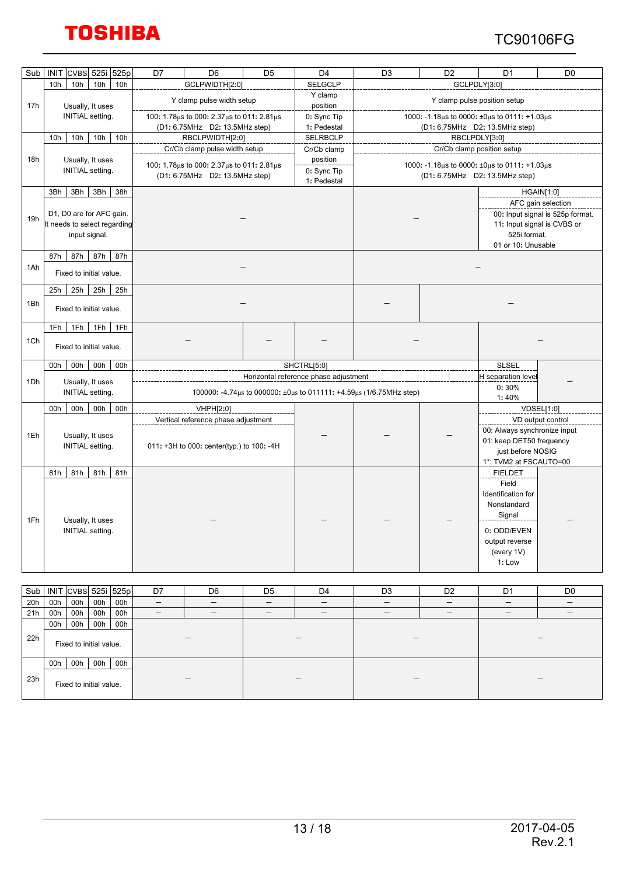### TC90106FG

| Sub | 525p<br><b>INIT</b><br><b>CVBS</b><br>525i                                | D <sub>5</sub><br>D7<br>D <sub>6</sub>                                         | D <sub>4</sub>                         | D <sub>3</sub>                                                                 | D <sub>2</sub>               | D <sub>1</sub>                                                                                          | D <sub>0</sub>                                                                        |  |
|-----|---------------------------------------------------------------------------|--------------------------------------------------------------------------------|----------------------------------------|--------------------------------------------------------------------------------|------------------------------|---------------------------------------------------------------------------------------------------------|---------------------------------------------------------------------------------------|--|
|     | 10h<br>10h<br>10h<br>10h                                                  | GCLPWIDTH[2:0]                                                                 | <b>SELGCLP</b>                         |                                                                                | GCLPDLY[3:0]                 |                                                                                                         |                                                                                       |  |
| 17h | Usually, It uses                                                          | Y clamp pulse width setup                                                      | Y clamp<br>position                    |                                                                                | Y clamp pulse position setup |                                                                                                         |                                                                                       |  |
|     | <b>INITIAL setting.</b>                                                   | 100: 1.78µs to 000: 2.37µs to 011: 2.81µs<br>(D1: 6.75MHz D2: 13.5MHz step)    | 0: Sync Tip<br>1: Pedestal             | 1000: -1.18μs to 0000: ±0μs to 0111: +1.03μs<br>(D1: 6.75MHz D2: 13.5MHz step) |                              |                                                                                                         |                                                                                       |  |
|     | 10h<br>10 <sub>h</sub><br>10h<br>10h                                      | RBCLPWIDTH[2:0]                                                                | <b>SELRBCLP</b>                        | RBCLPDLY[3:0]                                                                  |                              |                                                                                                         |                                                                                       |  |
|     |                                                                           | Cr/Cb clamp pulse width setup                                                  | Cr/Cb clamp                            | Cr/Cb clamp position setup                                                     |                              |                                                                                                         |                                                                                       |  |
| 18h | Usually, It uses<br><b>INITIAL</b> setting.                               | 100: 1.78 us to 000: 2.37 us to 011: 2.81 us<br>(D1: 6.75MHz D2: 13.5MHz step) | position<br>0: Sync Tip<br>1: Pedestal | 1000: -1.18μs to 0000: ±0μs to 0111: +1.03μs<br>(D1: 6.75MHz D2: 13.5MHz step) |                              |                                                                                                         |                                                                                       |  |
|     | 3Bh<br>3Bh<br>38h<br>3Bh                                                  |                                                                                |                                        |                                                                                |                              |                                                                                                         | <b>HGAIN[1:0]</b>                                                                     |  |
| 19h | D1, D0 are for AFC gain.<br>It needs to select regarding<br>input signal. |                                                                                |                                        |                                                                                |                              | 525i format.<br>01 or 10: Unusable                                                                      | AFC gain selection<br>00: Input signal is 525p format.<br>11: Input signal is CVBS or |  |
|     | 87h<br>87h<br>87h<br>87h                                                  |                                                                                |                                        |                                                                                |                              |                                                                                                         |                                                                                       |  |
| 1Ah | Fixed to initial value.                                                   |                                                                                |                                        |                                                                                |                              |                                                                                                         |                                                                                       |  |
|     | 25h<br>25h<br>25h<br>25h                                                  |                                                                                |                                        |                                                                                |                              |                                                                                                         |                                                                                       |  |
| 1Bh | Fixed to initial value.                                                   |                                                                                |                                        |                                                                                |                              |                                                                                                         |                                                                                       |  |
|     | 1Fh<br>1Fh<br>1Fh<br>1Fh                                                  |                                                                                |                                        |                                                                                |                              |                                                                                                         |                                                                                       |  |
| 1Ch | Fixed to initial value.                                                   |                                                                                |                                        |                                                                                |                              |                                                                                                         |                                                                                       |  |
|     | 00h<br>00h<br>00h<br>00h                                                  |                                                                                | SHCTRL[5:0]                            |                                                                                |                              | <b>SLSEL</b>                                                                                            |                                                                                       |  |
| 1Dh | Usually, It uses                                                          |                                                                                | Horizontal reference phase adjustment  |                                                                                |                              | H separation level                                                                                      |                                                                                       |  |
|     | INITIAL setting.                                                          | 100000: -4.74μs to 000000: ±0μs to 011111: +4.59μs (1/6.75MHz step)            |                                        |                                                                                |                              | 0:30%<br>1:40%                                                                                          |                                                                                       |  |
|     | 00h<br>00h<br>00h<br>00h                                                  | VHPH[2:0]                                                                      |                                        |                                                                                |                              |                                                                                                         | VDSEL[1:0]                                                                            |  |
|     |                                                                           | Vertical reference phase adjustment                                            |                                        |                                                                                |                              |                                                                                                         | VD output control                                                                     |  |
| 1Eh | Usually, It uses<br><b>INITIAL</b> setting.                               | 011: +3H to 000: center(typ.) to 100: -4H                                      |                                        |                                                                                |                              | 00: Always synchronize input<br>01: keep DET50 frequency<br>just before NOSIG<br>1*: TVM2 at FSCAUTO=00 |                                                                                       |  |
|     | 81h<br>81h<br>81h<br>81h                                                  |                                                                                |                                        |                                                                                |                              | <b>FIELDET</b>                                                                                          |                                                                                       |  |
|     |                                                                           |                                                                                |                                        |                                                                                |                              | Field                                                                                                   |                                                                                       |  |
|     |                                                                           |                                                                                |                                        |                                                                                |                              | Identification for                                                                                      |                                                                                       |  |
|     |                                                                           |                                                                                |                                        |                                                                                |                              | Nonstandard<br>Signal                                                                                   |                                                                                       |  |
| 1Fh | Usually, It uses                                                          |                                                                                |                                        |                                                                                |                              |                                                                                                         |                                                                                       |  |
|     | INITIAL setting.                                                          |                                                                                |                                        |                                                                                |                              | 0: ODD/EVEN                                                                                             |                                                                                       |  |
|     |                                                                           |                                                                                |                                        |                                                                                |                              | output reverse<br>(every 1V)                                                                            |                                                                                       |  |
|     |                                                                           |                                                                                |                                        |                                                                                |                              | 1: Low                                                                                                  |                                                                                       |  |
|     |                                                                           |                                                                                |                                        |                                                                                |                              |                                                                                                         |                                                                                       |  |

|     | Sub   INIT CVBS 525i 525p                           |                         |     |     | D7 | D6 | D <sub>5</sub> | D <sub>4</sub>           | D <sub>3</sub> | D <sub>2</sub> | D <sub>1</sub> | D <sub>0</sub> |
|-----|-----------------------------------------------------|-------------------------|-----|-----|----|----|----------------|--------------------------|----------------|----------------|----------------|----------------|
| 20h | 00h                                                 | 00h                     | 00h | 00h |    |    |                |                          |                |                |                |                |
| 21h | 00h                                                 | 00h                     | 00h | 00h |    |    |                | $\overline{\phantom{m}}$ |                |                |                |                |
|     | 00h                                                 | 00h                     | 00h | 00h |    |    |                |                          |                |                |                |                |
| 22h |                                                     | Fixed to initial value. |     |     |    |    |                |                          |                |                |                |                |
| 23h | 00h<br>00h<br>00h<br>00h<br>Fixed to initial value. |                         |     |     |    |    |                |                          |                |                |                |                |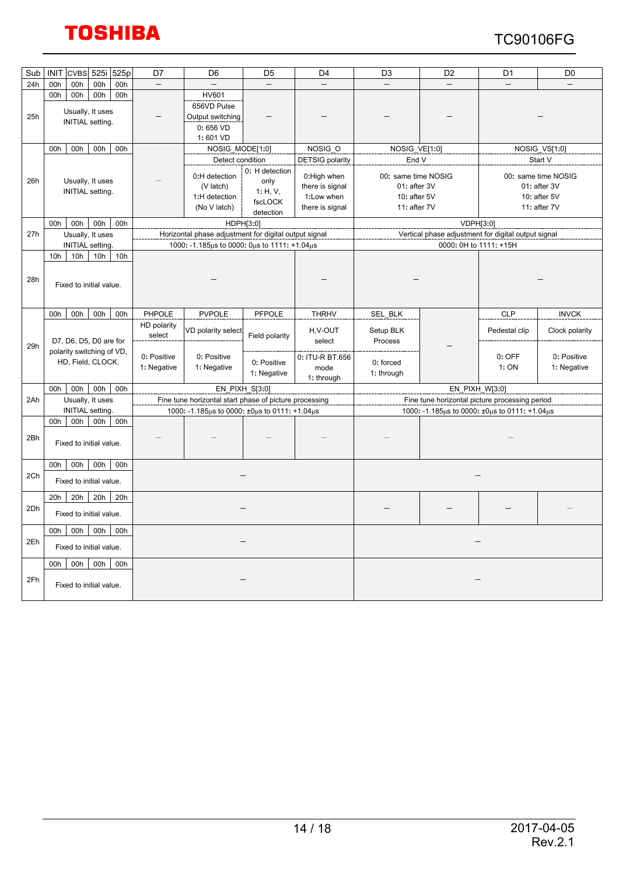

| Sub | <b>INIT</b>                                         | <b>CVBS</b>                                    | 525i | 525p | D7                         | D <sub>6</sub>                                                                                                            | D <sub>5</sub>             | D <sub>4</sub>                        | D <sub>3</sub>                                                      | D <sub>2</sub>                                      | D <sub>1</sub>  | D <sub>0</sub>                                                      |
|-----|-----------------------------------------------------|------------------------------------------------|------|------|----------------------------|---------------------------------------------------------------------------------------------------------------------------|----------------------------|---------------------------------------|---------------------------------------------------------------------|-----------------------------------------------------|-----------------|---------------------------------------------------------------------|
| 24h | 00h                                                 | 00h                                            | 00h  | 00h  |                            |                                                                                                                           |                            |                                       |                                                                     |                                                     |                 |                                                                     |
| 25h | 00h                                                 | 00h<br>Usually, It uses<br>INITIAL setting.    | 00h  | 00h  |                            | <b>HV601</b><br>656VD Pulse<br>Output switching<br>0:656VD<br>1:601 VD                                                    |                            |                                       |                                                                     |                                                     |                 |                                                                     |
|     | 00h                                                 | 00h                                            | 00h  | 00h  |                            | NOSIG MODE[1:0]                                                                                                           |                            | NOSIG O                               | NOSIG VE[1:0]                                                       |                                                     |                 | NOSIG_VS[1:0]                                                       |
|     |                                                     |                                                |      |      |                            | Detect condition                                                                                                          |                            | <b>DETSIG</b> polarity                | End V                                                               |                                                     |                 | Start V                                                             |
| 26h | Usually, It uses<br><b>INITIAL</b> setting.         |                                                |      |      |                            | 0: H detection<br>0:H detection<br>only<br>(V latch)<br>1: H, V,<br>1:H detection<br>fscLOCK<br>(No V latch)<br>detection |                            |                                       | 00: same time NOSIG<br>01: after 3V<br>10: after 5V<br>11: after 7V |                                                     |                 | 00: same time NOSIG<br>01: after 3V<br>10: after 5V<br>11: after 7V |
|     | 00h                                                 | 00h                                            | 00h  | 00h  |                            |                                                                                                                           | HDPH[3:0]                  |                                       |                                                                     | VDPH[3:0]                                           |                 |                                                                     |
| 27h |                                                     | Usually, It uses                               |      |      |                            | Horizontal phase adjustment for digital output signal                                                                     |                            |                                       |                                                                     | Vertical phase adjustment for digital output signal |                 |                                                                     |
|     |                                                     | <b>INITIAL</b> setting.                        |      |      |                            | 1000: -1.185μs to 0000: 0μs to 1111: +1.04μs                                                                              |                            |                                       |                                                                     | 0000: 0H to 1111: +15H                              |                 |                                                                     |
| 28h | 10h                                                 | 10h<br>Fixed to initial value.                 | 10h  | 10h  |                            |                                                                                                                           |                            |                                       |                                                                     |                                                     |                 |                                                                     |
|     | 00h                                                 | 00h                                            | 00h  | 00h  | PHPOLE                     | <b>PVPOLE</b>                                                                                                             | PFPOLE                     | <b>THRHV</b>                          | SEL_BLK                                                             |                                                     | <b>CLP</b>      | <b>INVCK</b>                                                        |
| 29h |                                                     | D7, D6, D5, D0 are for                         |      |      | HD polarity<br>select      | VD polarity select                                                                                                        | Field polarity             | H.V-OUT<br>select                     | Setup BLK<br>Process                                                |                                                     | Pedestal clip   | Clock polarity                                                      |
|     |                                                     | polarity switching of VD,<br>HD, Field, CLOCK. |      |      | 0: Positive<br>1: Negative | 0: Positive<br>1: Negative                                                                                                | 0: Positive<br>1: Negative | 0: ITU-R BT.656<br>mode<br>1: through | 0: forced<br>1: through                                             |                                                     | 0: OFF<br>1: ON | 0: Positive<br>1: Negative                                          |
|     | 00h                                                 | 00h                                            | 00h  | 00h  |                            |                                                                                                                           | EN_PIXH_S[3:0]             |                                       |                                                                     | EN PIXH W[3:0]                                      |                 |                                                                     |
| 2Ah |                                                     | Usually, It uses                               |      |      |                            | Fine tune horizontal start phase of picture processing                                                                    |                            |                                       | Fine tune horizontal picture processing period                      |                                                     |                 |                                                                     |
|     |                                                     | <b>INITIAL</b> setting.                        |      |      |                            | 1000: -1.185μs to 0000: ±0μs to 0111: +1.04μs                                                                             |                            |                                       |                                                                     | 1000: -1.185μs to 0000: ±0μs to 0111: +1.04μs       |                 |                                                                     |
| 2Bh | 00h                                                 | 00h<br>Fixed to initial value.                 | 00h  | 00h  |                            |                                                                                                                           |                            |                                       |                                                                     |                                                     |                 |                                                                     |
| 2Ch | 00h                                                 | 00h<br>Fixed to initial value.                 | 00h  | 00h  |                            |                                                                                                                           |                            |                                       |                                                                     |                                                     |                 |                                                                     |
| 2Dh | 20h                                                 | 20h<br>Fixed to initial value.                 | 20h  | 20h  |                            |                                                                                                                           |                            |                                       |                                                                     |                                                     |                 |                                                                     |
| 2Eh | 00h                                                 | 00h<br>Fixed to initial value.                 | 00h  | 00h  |                            |                                                                                                                           |                            |                                       |                                                                     |                                                     |                 |                                                                     |
| 2Fh | 00h<br>00h<br>00h<br>00h<br>Fixed to initial value. |                                                |      |      |                            |                                                                                                                           |                            |                                       |                                                                     |                                                     |                 |                                                                     |
|     |                                                     |                                                |      |      |                            |                                                                                                                           |                            |                                       |                                                                     |                                                     |                 |                                                                     |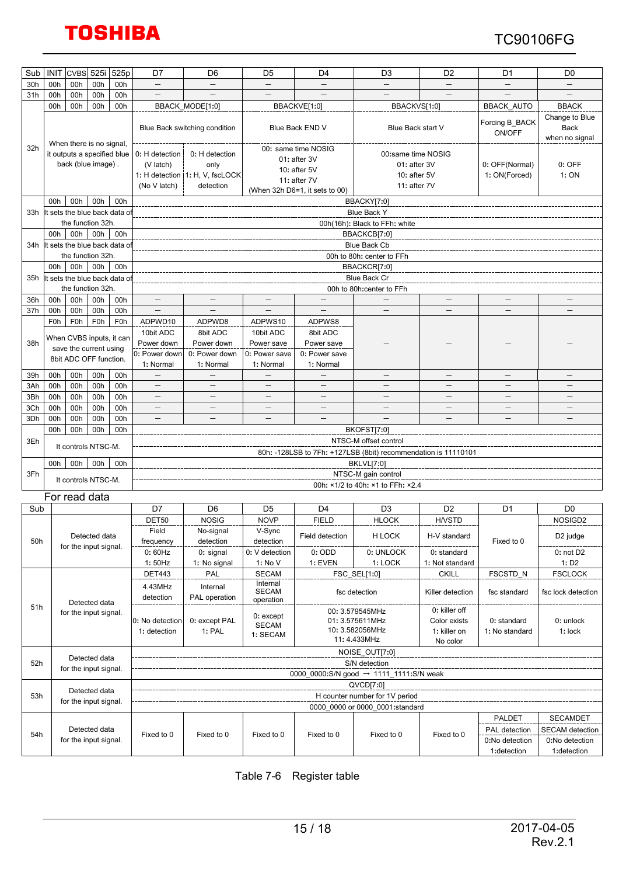### TC90106FG

| Sub | <b>INIT</b>                                   | <b>CVBS</b>      | 525i                                              | 525p                                | D7                                          | D <sub>6</sub>                                                                          | D <sub>5</sub>            | D <sub>4</sub>                                                                                                                              | D <sub>3</sub>                                            | D <sub>2</sub>                | D <sub>1</sub>                  | D <sub>0</sub>                 |  |  |  |
|-----|-----------------------------------------------|------------------|---------------------------------------------------|-------------------------------------|---------------------------------------------|-----------------------------------------------------------------------------------------|---------------------------|---------------------------------------------------------------------------------------------------------------------------------------------|-----------------------------------------------------------|-------------------------------|---------------------------------|--------------------------------|--|--|--|
| 30h | 00h                                           | 00h              | 00h                                               | 00h                                 | $\equiv$                                    |                                                                                         |                           |                                                                                                                                             |                                                           |                               |                                 |                                |  |  |  |
| 31h | 00h                                           | 00h              | 00h                                               | 00h                                 | $\overline{\phantom{0}}$                    |                                                                                         |                           |                                                                                                                                             |                                                           |                               |                                 |                                |  |  |  |
|     | 00h                                           | 00h              | 00h                                               | 00h                                 |                                             | BBACK_MODE[1:0]                                                                         |                           | BBACKVE[1:0]                                                                                                                                | BBACKVS[1:0]                                              |                               | <b>BBACK_AUTO</b>               | <b>BBACK</b><br>Change to Blue |  |  |  |
|     |                                               |                  | When there is no signal,                          |                                     |                                             | Blue Back switching condition                                                           | Blue Back END V           |                                                                                                                                             | Blue Back start V                                         |                               | Forcing B_BACK<br>ON/OFF        | <b>Back</b><br>when no signal  |  |  |  |
| 32h |                                               |                  | it outputs a specified blue<br>back (blue image). |                                     | 0: H detection<br>(V latch)<br>(No V latch) | 0: H detection<br>only<br>1: H detection   1: H, V, fscLOCK<br>detection                |                           | 00: same time NOSIG<br>00:same time NOSIG<br>01: after 3V<br>01: after 3V<br>10: after 5V<br>10: $after 5V$<br>11: after 7V<br>11: after 7V |                                                           |                               | 0: OFF(Normal)<br>1: ON(Forced) | $0:$ OFF<br>1: ON              |  |  |  |
|     |                                               |                  |                                                   |                                     |                                             |                                                                                         |                           | (When 32h D6=1, it sets to 00)                                                                                                              |                                                           |                               |                                 |                                |  |  |  |
| 33h | 00h                                           | 00h              | 00h                                               | 00h<br>t sets the blue back data of |                                             | BBACKY[7:0]<br><b>Blue Back Y</b>                                                       |                           |                                                                                                                                             |                                                           |                               |                                 |                                |  |  |  |
|     |                                               |                  | the function 32h.                                 |                                     |                                             | 00h(16h): Black to FFh: white                                                           |                           |                                                                                                                                             |                                                           |                               |                                 |                                |  |  |  |
|     | 00h                                           | 00h              | 00h                                               | 00h                                 |                                             |                                                                                         |                           |                                                                                                                                             | BBACKCB[7:0]                                              |                               |                                 |                                |  |  |  |
| 34h |                                               |                  |                                                   | t sets the blue back data of        |                                             |                                                                                         |                           |                                                                                                                                             | Blue Back Cb                                              |                               |                                 |                                |  |  |  |
|     |                                               |                  | the function 32h.                                 |                                     |                                             |                                                                                         |                           |                                                                                                                                             | 00h to 80h: center to FFh                                 |                               |                                 |                                |  |  |  |
|     | 00h                                           | 00h              | 00h                                               | 00h                                 |                                             |                                                                                         |                           |                                                                                                                                             | BBACKCR[7:0]                                              |                               |                                 |                                |  |  |  |
| 35h |                                               |                  | the function 32h.                                 | t sets the blue back data of        |                                             |                                                                                         |                           |                                                                                                                                             | <b>Blue Back Cr</b>                                       |                               |                                 |                                |  |  |  |
| 36h | 00h                                           | 00h              | 00h                                               | 00h                                 |                                             |                                                                                         |                           |                                                                                                                                             | 00h to 80h:center to FFh                                  |                               |                                 |                                |  |  |  |
| 37h | 00h                                           | 00h              | 00h                                               | 00h                                 | $\overline{\phantom{0}}$                    | $\overline{\phantom{0}}$                                                                | $\overline{\phantom{0}}$  | $\qquad \qquad -$                                                                                                                           | $\qquad \qquad -$                                         | $\overline{\phantom{0}}$      | $\overline{\phantom{0}}$        | $\overline{\phantom{0}}$       |  |  |  |
|     | F <sub>0</sub> h                              | F <sub>0</sub> h | F <sub>0</sub> h                                  | F <sub>0</sub> h                    | ADPWD10                                     | ADPWD8                                                                                  | ADPWS10                   | ADPWS8                                                                                                                                      |                                                           |                               |                                 |                                |  |  |  |
|     |                                               |                  | When CVBS inputs, it can                          |                                     | 10bit ADC                                   | 8bit ADC                                                                                | 10bit ADC                 | 8bit ADC                                                                                                                                    |                                                           |                               |                                 |                                |  |  |  |
| 38h |                                               |                  | save the current using                            |                                     | Power down                                  | Power down                                                                              | Power save                | Power save                                                                                                                                  |                                                           |                               |                                 |                                |  |  |  |
|     |                                               |                  | 8bit ADC OFF function.                            |                                     | 0: Power down                               | 0: Power down                                                                           | 0: Power save             | 0: Power save                                                                                                                               |                                                           |                               |                                 |                                |  |  |  |
| 39h | 00h                                           | 00h              | 00h                                               | 00h                                 | 1: Normal                                   | 1: Normal                                                                               | 1: Normal                 | 1: Normal                                                                                                                                   |                                                           |                               |                                 |                                |  |  |  |
| 3Ah | 00h                                           | 00h              | 00h                                               | 00h                                 | $-$                                         | $-$                                                                                     | $\qquad \qquad -$         | $\overline{\phantom{0}}$                                                                                                                    | $-$                                                       | $-$                           | $\overline{\phantom{0}}$        | $\overline{\phantom{0}}$       |  |  |  |
| 3Bh | 00h                                           | 00h              | 00h                                               | 00h                                 | —                                           | —                                                                                       | $\overline{\phantom{m}}$  | $\qquad \qquad -$                                                                                                                           | $\qquad \qquad$                                           | $\qquad \qquad -$             |                                 | $\overline{\phantom{m}}$       |  |  |  |
| 3Ch | 00h                                           | 00h              | 00h                                               | 00h                                 |                                             |                                                                                         |                           |                                                                                                                                             |                                                           |                               |                                 |                                |  |  |  |
| 3Dh | 00h                                           | 00h              | 00h                                               | 00h                                 |                                             |                                                                                         |                           |                                                                                                                                             |                                                           |                               |                                 |                                |  |  |  |
|     | 00h                                           | 00h              | 00h                                               | 00h                                 |                                             |                                                                                         |                           |                                                                                                                                             | BKOFST[7:0]                                               |                               |                                 |                                |  |  |  |
| 3Eh |                                               |                  | It controls NTSC-M.                               |                                     |                                             | NTSC-M offset control<br>80h: -128LSB to 7Fh: +127LSB (8bit) recommendation is 11110101 |                           |                                                                                                                                             |                                                           |                               |                                 |                                |  |  |  |
|     | 00h                                           | 00h              | 00h                                               | 00h                                 |                                             | <b>BKLVL[7:0]</b>                                                                       |                           |                                                                                                                                             |                                                           |                               |                                 |                                |  |  |  |
| 3Fh |                                               |                  |                                                   |                                     |                                             |                                                                                         |                           |                                                                                                                                             | NTSC-M gain control                                       |                               |                                 |                                |  |  |  |
|     |                                               |                  | It controls NTSC-M.                               |                                     |                                             | 00h: ×1/2 to 40h: ×1 to FFh: ×2.4                                                       |                           |                                                                                                                                             |                                                           |                               |                                 |                                |  |  |  |
|     |                                               |                  | For read data                                     |                                     |                                             |                                                                                         |                           |                                                                                                                                             |                                                           |                               |                                 |                                |  |  |  |
| Sub |                                               |                  |                                                   |                                     | D7                                          | D <sub>6</sub>                                                                          | D <sub>5</sub>            | D <sub>4</sub>                                                                                                                              | D <sub>3</sub>                                            | D <sub>2</sub>                | D1                              | D <sub>0</sub>                 |  |  |  |
|     |                                               |                  |                                                   |                                     | DET50                                       | <b>NOSIG</b>                                                                            | <b>NOVP</b>               | <b>FIELD</b>                                                                                                                                | <b>HLOCK</b>                                              | <b>H/VSTD</b>                 |                                 | NOSIGD <sub>2</sub>            |  |  |  |
| 50h |                                               |                  | Detected data<br>for the input signal.            |                                     | Field<br>frequency                          | No-signal<br>detection                                                                  | V-Sync<br>detection       | Field detection                                                                                                                             | H LOCK                                                    | H-V standard                  | Fixed to 0                      | D <sub>2</sub> judge           |  |  |  |
|     |                                               |                  |                                                   |                                     | 0:60Hz                                      | 0: signal                                                                               | 0: V detection            | 0:ODD                                                                                                                                       | 0: UNLOCK                                                 | 0: standard                   |                                 | $0:$ not $D2$                  |  |  |  |
|     |                                               |                  |                                                   |                                     | 1:50Hz<br><b>DET443</b>                     | 1: No signal                                                                            | 1: No V<br><b>SECAM</b>   | 1: EVEN                                                                                                                                     | 1: LOCK                                                   | 1: Not standard               |                                 | 1: D2                          |  |  |  |
|     |                                               |                  |                                                   |                                     |                                             | PAL                                                                                     | Internal                  |                                                                                                                                             | FSC_SEL[1:0]                                              | <b>CKILL</b>                  | FSCSTD_N                        | <b>FSCLOCK</b>                 |  |  |  |
|     |                                               |                  |                                                   |                                     | 4.43MHz<br>detection                        | Internal<br>PAL operation                                                               | <b>SECAM</b><br>operation |                                                                                                                                             | fsc detection                                             | Killer detection              | fsc standard                    | fsc lock detection             |  |  |  |
| 51h | Detected data<br>for the input signal.        |                  |                                                   | 0: No detection<br>1: detection     | 0: except PAL<br>1: PAL                     | $0:$ except<br><b>SECAM</b><br>1: SECAM                                                 |                           | 00: 3.579545MHz<br>01: 3.575611MHz<br>10: 3.582056MHz<br>11: 4.433MHz                                                                       | 0: killer off<br>Color exists<br>1: killer on<br>No color | 0: standard<br>1: No standard | 0: unlock<br>1: lock            |                                |  |  |  |
|     |                                               |                  |                                                   |                                     |                                             |                                                                                         |                           |                                                                                                                                             | NOISE_OUT[7:0]                                            |                               |                                 |                                |  |  |  |
|     | Detected data<br>52h<br>for the input signal. |                  |                                                   |                                     |                                             |                                                                                         |                           |                                                                                                                                             | S/N detection                                             |                               |                                 |                                |  |  |  |
|     |                                               |                  |                                                   |                                     |                                             |                                                                                         |                           |                                                                                                                                             | 0000_0000:S/N good → 1111_1111:S/N weak                   |                               |                                 |                                |  |  |  |
|     | Detected data                                 |                  |                                                   |                                     |                                             |                                                                                         |                           |                                                                                                                                             | QVCD[7:0]<br>H counter number for 1V period               |                               |                                 |                                |  |  |  |
|     | 53h<br>for the input signal.                  |                  |                                                   |                                     |                                             |                                                                                         |                           |                                                                                                                                             | 0000 0000 or 0000 0001:standard                           |                               |                                 |                                |  |  |  |
|     |                                               |                  |                                                   |                                     |                                             |                                                                                         |                           |                                                                                                                                             |                                                           |                               | PALDET                          | <b>SECAMDET</b>                |  |  |  |
| 54h |                                               |                  | Detected data                                     |                                     | Fixed to 0                                  | Fixed to 0                                                                              | Fixed to 0                | Fixed to 0                                                                                                                                  | Fixed to 0                                                | Fixed to 0                    | PAL detection                   | <b>SECAM</b> detection         |  |  |  |
|     |                                               |                  | for the input signal.                             |                                     |                                             |                                                                                         |                           |                                                                                                                                             |                                                           |                               | 0:No detection                  | 0:No detection                 |  |  |  |
|     |                                               |                  |                                                   |                                     |                                             |                                                                                         |                           |                                                                                                                                             |                                                           |                               | 1:detection                     | 1:detection                    |  |  |  |

Table 7-6 Register table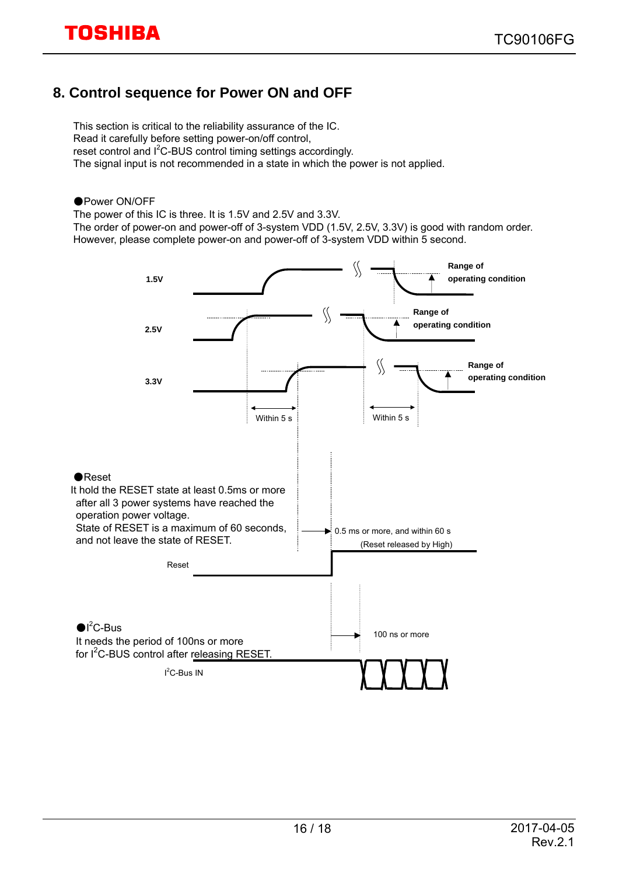### **8. Control sequence for Power ON and OFF**

This section is critical to the reliability assurance of the IC. Read it carefully before setting power-on/off control, reset control and I<sup>2</sup>C-BUS control timing settings accordingly. The signal input is not recommended in a state in which the power is not applied.

#### ●Power ON/OFF

The power of this IC is three. It is 1.5V and 2.5V and 3.3V.

The order of power-on and power-off of 3-system VDD (1.5V, 2.5V, 3.3V) is good with random order. However, please complete power-on and power-off of 3-system VDD within 5 second.

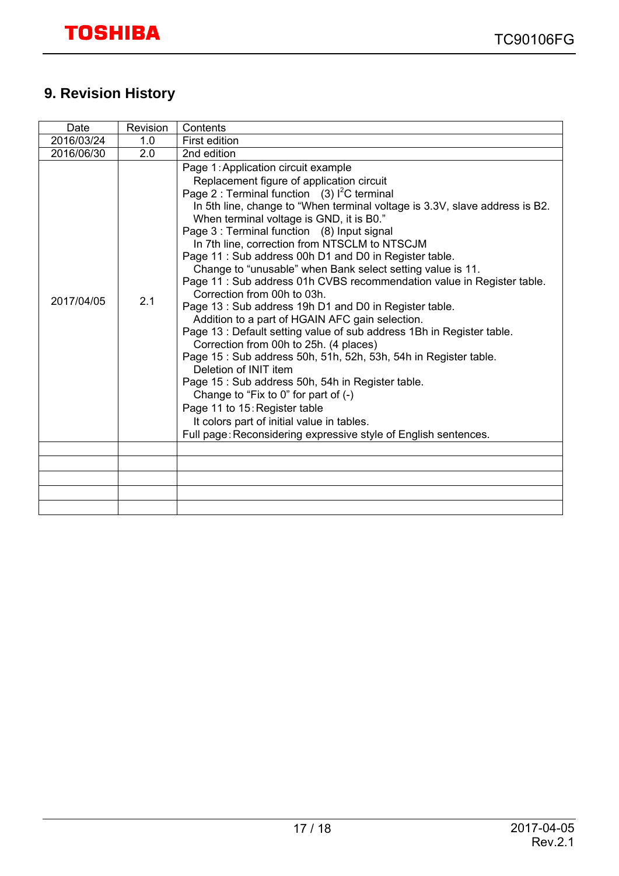### **9. Revision History**

| Date       | Revision | Contents                                                                                                                                                                                                                                                                                                                                                                                                                                                                                                                                                                                                                                                                                                                                                                                                                                                                                                                                                                                                                                                                                                                                                                     |
|------------|----------|------------------------------------------------------------------------------------------------------------------------------------------------------------------------------------------------------------------------------------------------------------------------------------------------------------------------------------------------------------------------------------------------------------------------------------------------------------------------------------------------------------------------------------------------------------------------------------------------------------------------------------------------------------------------------------------------------------------------------------------------------------------------------------------------------------------------------------------------------------------------------------------------------------------------------------------------------------------------------------------------------------------------------------------------------------------------------------------------------------------------------------------------------------------------------|
| 2016/03/24 | 1.0      | First edition                                                                                                                                                                                                                                                                                                                                                                                                                                                                                                                                                                                                                                                                                                                                                                                                                                                                                                                                                                                                                                                                                                                                                                |
| 2016/06/30 | 2.0      | 2nd edition                                                                                                                                                                                                                                                                                                                                                                                                                                                                                                                                                                                                                                                                                                                                                                                                                                                                                                                                                                                                                                                                                                                                                                  |
| 2017/04/05 | 2.1      | Page 1: Application circuit example<br>Replacement figure of application circuit<br>Page 2 : Terminal function (3) $I^2C$ terminal<br>In 5th line, change to "When terminal voltage is 3.3V, slave address is B2.<br>When terminal voltage is GND, it is B0."<br>Page 3 : Terminal function (8) Input signal<br>In 7th line, correction from NTSCLM to NTSCJM<br>Page 11: Sub address 00h D1 and D0 in Register table.<br>Change to "unusable" when Bank select setting value is 11.<br>Page 11 : Sub address 01h CVBS recommendation value in Register table.<br>Correction from 00h to 03h.<br>Page 13: Sub address 19h D1 and D0 in Register table.<br>Addition to a part of HGAIN AFC gain selection.<br>Page 13 : Default setting value of sub address 1Bh in Register table.<br>Correction from 00h to 25h. (4 places)<br>Page 15: Sub address 50h, 51h, 52h, 53h, 54h in Register table.<br>Deletion of INIT item<br>Page 15 : Sub address 50h, 54h in Register table.<br>Change to "Fix to $0$ " for part of $(-)$<br>Page 11 to 15: Register table<br>It colors part of initial value in tables.<br>Full page: Reconsidering expressive style of English sentences. |
|            |          |                                                                                                                                                                                                                                                                                                                                                                                                                                                                                                                                                                                                                                                                                                                                                                                                                                                                                                                                                                                                                                                                                                                                                                              |
|            |          |                                                                                                                                                                                                                                                                                                                                                                                                                                                                                                                                                                                                                                                                                                                                                                                                                                                                                                                                                                                                                                                                                                                                                                              |
|            |          |                                                                                                                                                                                                                                                                                                                                                                                                                                                                                                                                                                                                                                                                                                                                                                                                                                                                                                                                                                                                                                                                                                                                                                              |
|            |          |                                                                                                                                                                                                                                                                                                                                                                                                                                                                                                                                                                                                                                                                                                                                                                                                                                                                                                                                                                                                                                                                                                                                                                              |
|            |          |                                                                                                                                                                                                                                                                                                                                                                                                                                                                                                                                                                                                                                                                                                                                                                                                                                                                                                                                                                                                                                                                                                                                                                              |